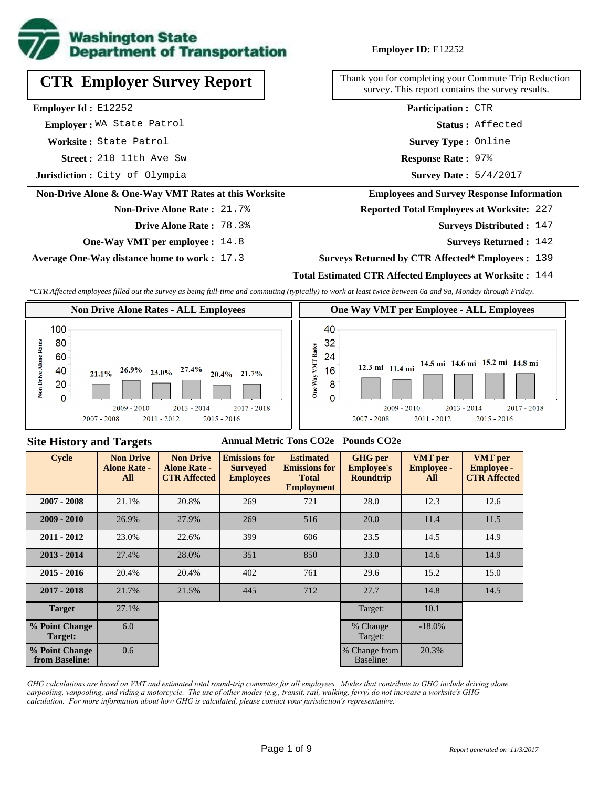

# **Employer ID:** E12252

**CTR Employer Survey Report**

**Employer Id :** E12252

 **Employer :** WA State Patrol

**Worksite :** State Patrol

**Street :** 210 11th Ave Sw **Response Rate :** 

**Jurisdiction :** City of Olympia

#### **Non-Drive Alone & One-Way VMT Rates at this Worksite**

#### **Non-Drive Alone Rate :** 21.7%

**Drive Alone Rate :** 78.3%

**One-Way VMT per employee :** 14.8

**Average One-Way distance home to work :** 17.3

Thank you for completing your Commute Trip Reduction survey. This report contains the survey results.

> Response Rate: 97% **Survey Type :** Online **Status :** Affected **Participation :** CTR

Survey Date: 5/4/2017

#### **Employees and Survey Response Information**

**Reported Total Employees at Worksite:** 227

Surveys Distributed : 147

**Surveys Returned :** 142

## **Surveys Returned by CTR Affected\* Employees :** 139

## **Total Estimated CTR Affected Employees at Worksite :** 144

*\*CTR Affected employees filled out the survey as being full-time and commuting (typically) to work at least twice between 6a and 9a, Monday through Friday.*



#### **Site History and Targets**

## **Annual Metric Tons CO2e Pounds CO2e**

| <b>Cycle</b>                     | <b>Non Drive</b><br><b>Alone Rate -</b><br>All | <b>Non Drive</b><br><b>Alone Rate -</b><br><b>CTR Affected</b> | <b>Emissions for</b><br><b>Surveyed</b><br><b>Employees</b> | <b>Estimated</b><br><b>Emissions for</b><br><b>Total</b><br><b>Employment</b> | <b>GHG</b> per<br><b>Employee's</b><br><b>Roundtrip</b> | <b>VMT</b> per<br><b>Employee -</b><br>All | <b>VMT</b> per<br><b>Employee -</b><br><b>CTR Affected</b> |
|----------------------------------|------------------------------------------------|----------------------------------------------------------------|-------------------------------------------------------------|-------------------------------------------------------------------------------|---------------------------------------------------------|--------------------------------------------|------------------------------------------------------------|
| $2007 - 2008$                    | 21.1%                                          | 20.8%                                                          | 269                                                         | 721                                                                           | 28.0                                                    | 12.3                                       | 12.6                                                       |
| $2009 - 2010$                    | 26.9%                                          | 27.9%                                                          | 269                                                         | 516                                                                           | 20.0                                                    | 11.4                                       | 11.5                                                       |
| $2011 - 2012$                    | 23.0%                                          | 22.6%                                                          | 399                                                         | 606                                                                           | 23.5                                                    | 14.5                                       | 14.9                                                       |
| $2013 - 2014$                    | 27.4%                                          | 28.0%                                                          | 351                                                         | 850                                                                           | 33.0                                                    | 14.6                                       | 14.9                                                       |
| $2015 - 2016$                    | 20.4%                                          | 20.4%                                                          | 402                                                         | 761                                                                           | 29.6                                                    | 15.2                                       | 15.0                                                       |
| $2017 - 2018$                    | 21.7%                                          | 21.5%                                                          | 445                                                         | 712                                                                           | 27.7                                                    | 14.8                                       | 14.5                                                       |
| <b>Target</b>                    | 27.1%                                          |                                                                |                                                             |                                                                               | Target:                                                 | 10.1                                       |                                                            |
| % Point Change<br>Target:        | 6.0                                            |                                                                |                                                             |                                                                               | % Change<br>Target:                                     | $-18.0\%$                                  |                                                            |
| % Point Change<br>from Baseline: | 0.6                                            |                                                                |                                                             |                                                                               | % Change from<br>Baseline:                              | 20.3%                                      |                                                            |

*GHG calculations are based on VMT and estimated total round-trip commutes for all employees. Modes that contribute to GHG include driving alone, carpooling, vanpooling, and riding a motorcycle. The use of other modes (e.g., transit, rail, walking, ferry) do not increase a worksite's GHG calculation. For more information about how GHG is calculated, please contact your jurisdiction's representative.*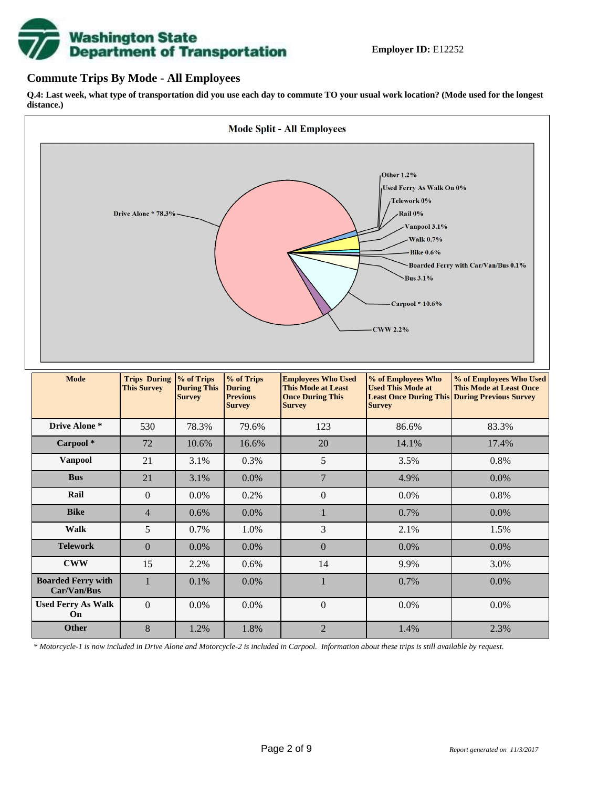# **Washington State<br>Department of Transportation**

# **Commute Trips By Mode - All Employees**

**Q.4: Last week, what type of transportation did you use each day to commute TO your usual work location? (Mode used for the longest distance.)**



*\* Motorcycle-1 is now included in Drive Alone and Motorcycle-2 is included in Carpool. Information about these trips is still available by request.*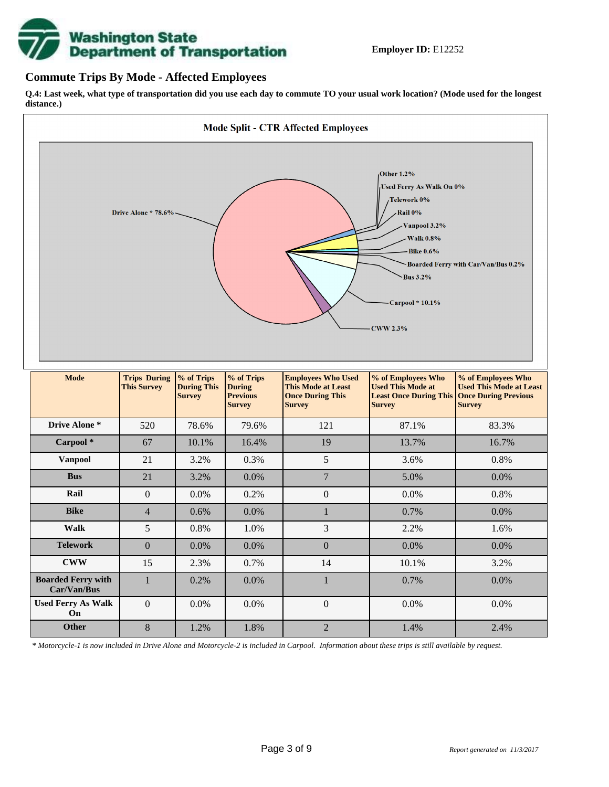![](_page_2_Picture_0.jpeg)

# **Commute Trips By Mode - Affected Employees**

**Q.4: Last week, what type of transportation did you use each day to commute TO your usual work location? (Mode used for the longest distance.)**

![](_page_2_Figure_4.jpeg)

*\* Motorcycle-1 is now included in Drive Alone and Motorcycle-2 is included in Carpool. Information about these trips is still available by request.*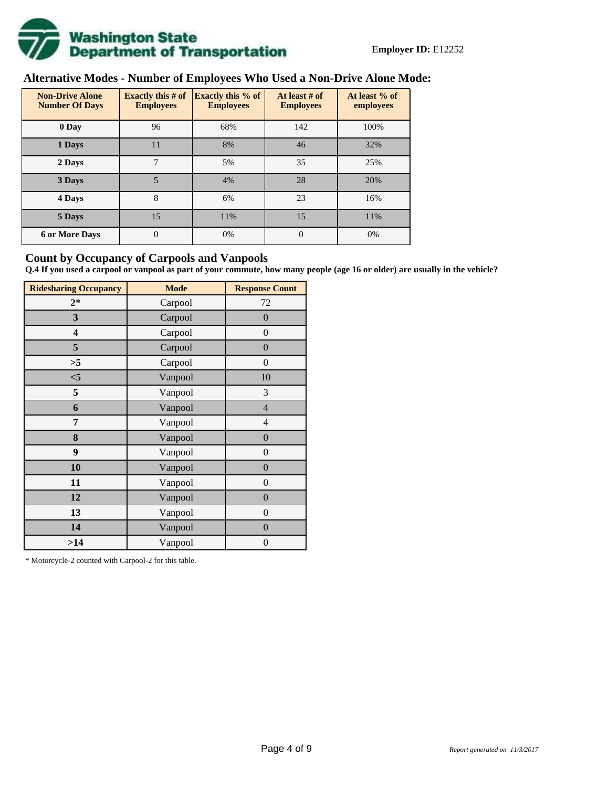![](_page_3_Picture_0.jpeg)

# **Alternative Modes - Number of Employees Who Used a Non-Drive Alone Mode:**

| <b>Non-Drive Alone</b><br><b>Number Of Days</b> | <b>Exactly this # of</b><br><b>Employees</b> | <b>Exactly this % of</b><br><b>Employees</b> | At least # of<br><b>Employees</b> | At least % of<br>employees |
|-------------------------------------------------|----------------------------------------------|----------------------------------------------|-----------------------------------|----------------------------|
| 0 Day                                           | 96                                           | 68%                                          | 142                               | 100%                       |
| 1 Days                                          | 11                                           | 8%                                           | 46                                | 32%                        |
| 2 Days                                          | 7                                            | 5%                                           | 35                                | 25%                        |
| 3 Days                                          | 5                                            | 4%                                           | 28                                | 20%                        |
| 4 Days                                          | 8                                            | 6%                                           | 23                                | 16%                        |
| 5 Days                                          | 15                                           | 11%                                          | 15                                | 11%                        |
| <b>6 or More Days</b>                           | $\overline{0}$                               | 0%                                           | $\Omega$                          | 0%                         |

# **Count by Occupancy of Carpools and Vanpools**

**Q.4 If you used a carpool or vanpool as part of your commute, how many people (age 16 or older) are usually in the vehicle?**

| <b>Ridesharing Occupancy</b> | <b>Mode</b> | <b>Response Count</b> |
|------------------------------|-------------|-----------------------|
| $2*$                         | Carpool     | 72                    |
| 3                            | Carpool     | $\boldsymbol{0}$      |
| 4                            | Carpool     | $\theta$              |
| 5                            | Carpool     | $\boldsymbol{0}$      |
| >5                           | Carpool     | $\boldsymbol{0}$      |
| < 5                          | Vanpool     | 10                    |
| 5                            | Vanpool     | 3                     |
| 6                            | Vanpool     | $\overline{4}$        |
| 7                            | Vanpool     | $\overline{4}$        |
| 8                            | Vanpool     | $\boldsymbol{0}$      |
| 9                            | Vanpool     | $\boldsymbol{0}$      |
| 10                           | Vanpool     | $\boldsymbol{0}$      |
| 11                           | Vanpool     | $\boldsymbol{0}$      |
| 12                           | Vanpool     | $\boldsymbol{0}$      |
| 13                           | Vanpool     | $\boldsymbol{0}$      |
| 14                           | Vanpool     | $\overline{0}$        |
| >14                          | Vanpool     | $\boldsymbol{0}$      |

\* Motorcycle-2 counted with Carpool-2 for this table.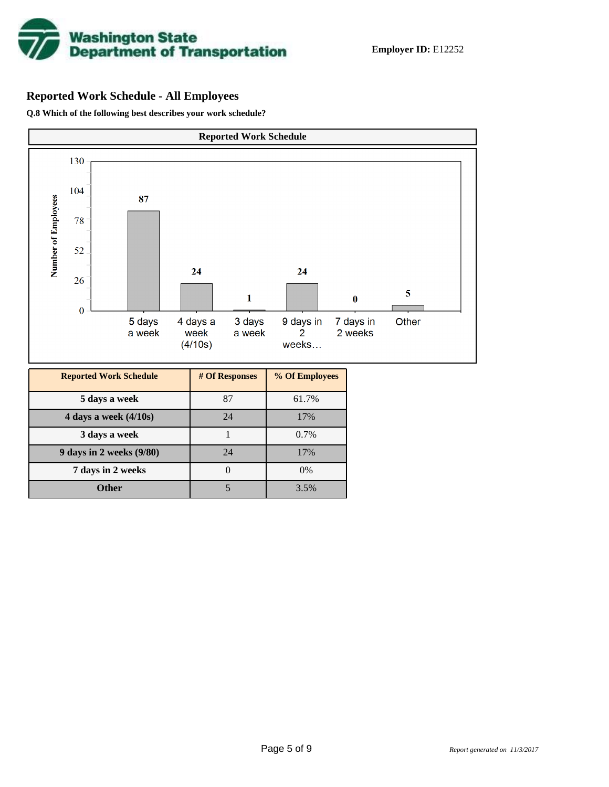![](_page_4_Picture_0.jpeg)

# **Reported Work Schedule - All Employees**

**Q.8 Which of the following best describes your work schedule?**

![](_page_4_Figure_4.jpeg)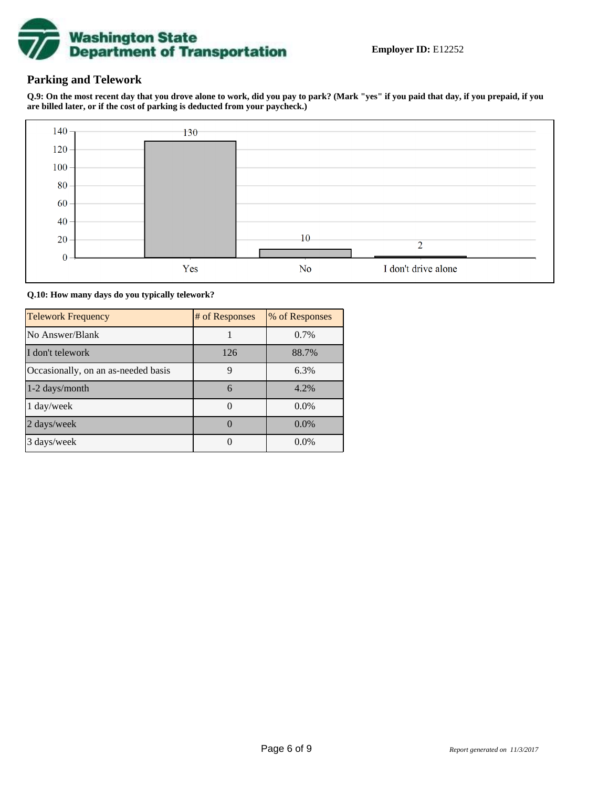![](_page_5_Picture_0.jpeg)

# **Parking and Telework**

**Q.9: On the most recent day that you drove alone to work, did you pay to park? (Mark "yes" if you paid that day, if you prepaid, if you are billed later, or if the cost of parking is deducted from your paycheck.)**

![](_page_5_Figure_4.jpeg)

**Q.10: How many days do you typically telework?**

| <b>Telework Frequency</b>           | # of Responses | % of Responses |
|-------------------------------------|----------------|----------------|
| No Answer/Blank                     |                | $0.7\%$        |
| I don't telework                    | 126            | 88.7%          |
| Occasionally, on an as-needed basis | 9              | 6.3%           |
| 1-2 days/month                      | 6              | 4.2%           |
| 1 day/week                          |                | $0.0\%$        |
| 2 days/week                         |                | $0.0\%$        |
| 3 days/week                         |                | $0.0\%$        |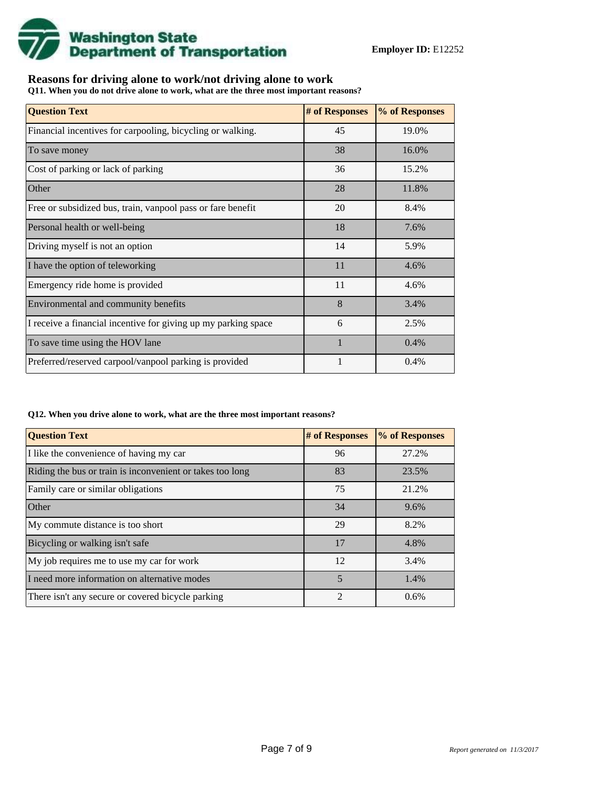![](_page_6_Picture_0.jpeg)

# **Reasons for driving alone to work/not driving alone to work**

**Q11. When you do not drive alone to work, what are the three most important reasons?**

| <b>Question Text</b>                                           | # of Responses | % of Responses |
|----------------------------------------------------------------|----------------|----------------|
| Financial incentives for carpooling, bicycling or walking.     | 45             | 19.0%          |
| To save money                                                  | 38             | 16.0%          |
| Cost of parking or lack of parking                             | 36             | 15.2%          |
| Other                                                          | 28             | 11.8%          |
| Free or subsidized bus, train, vanpool pass or fare benefit    | 20             | 8.4%           |
| Personal health or well-being                                  | 18             | 7.6%           |
| Driving myself is not an option                                | 14             | 5.9%           |
| I have the option of teleworking                               | 11             | 4.6%           |
| Emergency ride home is provided                                | 11             | 4.6%           |
| Environmental and community benefits                           | 8              | 3.4%           |
| I receive a financial incentive for giving up my parking space | 6              | 2.5%           |
| To save time using the HOV lane                                |                | 0.4%           |
| Preferred/reserved carpool/vanpool parking is provided         |                | 0.4%           |

#### **Q12. When you drive alone to work, what are the three most important reasons?**

| <b>Question Text</b>                                      | # of Responses | % of Responses |
|-----------------------------------------------------------|----------------|----------------|
| I like the convenience of having my car                   | 96             | 27.2%          |
| Riding the bus or train is inconvenient or takes too long | 83             | 23.5%          |
| Family care or similar obligations                        | 75             | 21.2%          |
| Other                                                     | 34             | 9.6%           |
| My commute distance is too short                          | 29             | 8.2%           |
| Bicycling or walking isn't safe                           | 17             | 4.8%           |
| My job requires me to use my car for work                 | 12             | 3.4%           |
| I need more information on alternative modes              | 5              | 1.4%           |
| There isn't any secure or covered bicycle parking         | $\mathfrak{D}$ | 0.6%           |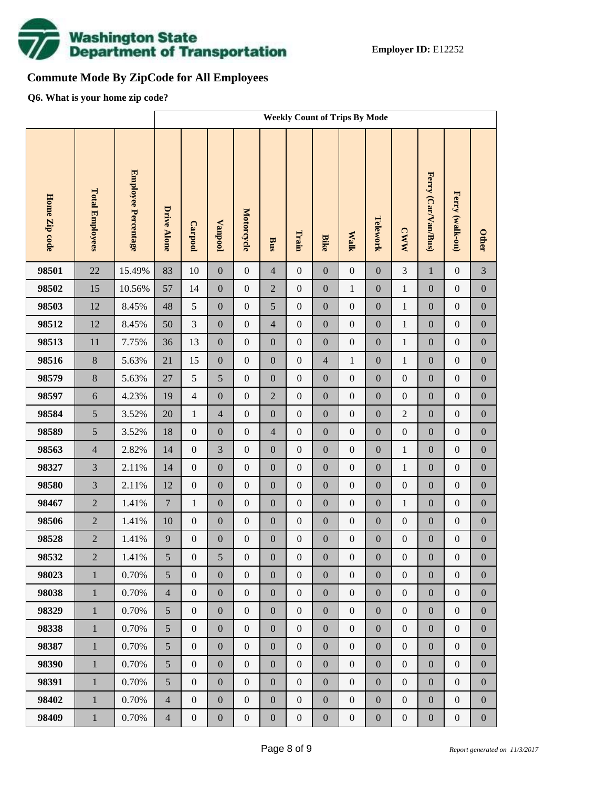![](_page_7_Picture_0.jpeg)

# **Commute Mode By ZipCode for All Employees**

**Q6. What is your home zip code?**

|               |                        |                     |                    | <b>Weekly Count of Trips By Mode</b> |                  |                  |                  |                  |                  |                  |                  |                  |                     |                  |                  |
|---------------|------------------------|---------------------|--------------------|--------------------------------------|------------------|------------------|------------------|------------------|------------------|------------------|------------------|------------------|---------------------|------------------|------------------|
| Home Zip code | <b>Total Employees</b> | Employee Percentage | <b>Drive Alone</b> | Carpool                              | <b>Vanpool</b>   | Motorcycle       | Bus              | Train            | <b>Bike</b>      | <b>Walk</b>      | Telework         | <b>CWW</b>       | Ferry (Car/Van/Bus) | Ferry (walk-on)  | <b>Other</b>     |
| 98501         | 22                     | 15.49%              | 83                 | 10                                   | $\boldsymbol{0}$ | $\mathbf{0}$     | $\overline{4}$   | $\boldsymbol{0}$ | $\overline{0}$   | $\boldsymbol{0}$ | $\boldsymbol{0}$ | 3                | $\mathbf{1}$        | $\boldsymbol{0}$ | 3                |
| 98502         | 15                     | 10.56%              | 57                 | 14                                   | $\boldsymbol{0}$ | $\boldsymbol{0}$ | $\overline{2}$   | $\boldsymbol{0}$ | $\boldsymbol{0}$ | $\mathbf{1}$     | $\boldsymbol{0}$ | $\mathbf{1}$     | $\boldsymbol{0}$    | $\boldsymbol{0}$ | $\boldsymbol{0}$ |
| 98503         | 12                     | 8.45%               | 48                 | 5                                    | $\boldsymbol{0}$ | $\boldsymbol{0}$ | 5                | $\boldsymbol{0}$ | $\boldsymbol{0}$ | $\boldsymbol{0}$ | $\boldsymbol{0}$ | $\,1$            | $\boldsymbol{0}$    | $\boldsymbol{0}$ | $\boldsymbol{0}$ |
| 98512         | 12                     | 8.45%               | 50                 | 3                                    | $\boldsymbol{0}$ | $\boldsymbol{0}$ | $\overline{4}$   | $\boldsymbol{0}$ | $\overline{0}$   | $\boldsymbol{0}$ | $\boldsymbol{0}$ | $\mathbf{1}$     | $\boldsymbol{0}$    | $\boldsymbol{0}$ | $\boldsymbol{0}$ |
| 98513         | 11                     | 7.75%               | 36                 | 13                                   | $\boldsymbol{0}$ | $\boldsymbol{0}$ | $\boldsymbol{0}$ | $\boldsymbol{0}$ | $\boldsymbol{0}$ | $\boldsymbol{0}$ | $\boldsymbol{0}$ | $\,1$            | $\boldsymbol{0}$    | $\boldsymbol{0}$ | $\boldsymbol{0}$ |
| 98516         | $\,8\,$                | 5.63%               | 21                 | 15                                   | $\boldsymbol{0}$ | $\boldsymbol{0}$ | $\boldsymbol{0}$ | $\boldsymbol{0}$ | $\overline{4}$   | $\mathbf{1}$     | $\boldsymbol{0}$ | $\mathbf{1}$     | $\boldsymbol{0}$    | $\boldsymbol{0}$ | $\boldsymbol{0}$ |
| 98579         | $8\,$                  | 5.63%               | $27\,$             | 5                                    | 5                | $\boldsymbol{0}$ | $\boldsymbol{0}$ | $\boldsymbol{0}$ | $\boldsymbol{0}$ | $\boldsymbol{0}$ | $\boldsymbol{0}$ | $\boldsymbol{0}$ | $\boldsymbol{0}$    | $\boldsymbol{0}$ | $\boldsymbol{0}$ |
| 98597         | 6                      | 4.23%               | 19                 | $\overline{4}$                       | $\boldsymbol{0}$ | $\boldsymbol{0}$ | $\overline{2}$   | $\boldsymbol{0}$ | $\overline{0}$   | $\boldsymbol{0}$ | $\boldsymbol{0}$ | $\boldsymbol{0}$ | $\boldsymbol{0}$    | $\boldsymbol{0}$ | $\boldsymbol{0}$ |
| 98584         | 5                      | 3.52%               | 20                 | $\mathbf{1}$                         | $\overline{4}$   | $\boldsymbol{0}$ | $\boldsymbol{0}$ | $\boldsymbol{0}$ | $\boldsymbol{0}$ | $\boldsymbol{0}$ | $\boldsymbol{0}$ | $\sqrt{2}$       | $\boldsymbol{0}$    | $\boldsymbol{0}$ | $\boldsymbol{0}$ |
| 98589         | 5                      | 3.52%               | 18                 | $\boldsymbol{0}$                     | $\boldsymbol{0}$ | $\boldsymbol{0}$ | $\overline{4}$   | $\boldsymbol{0}$ | $\overline{0}$   | $\boldsymbol{0}$ | $\boldsymbol{0}$ | $\boldsymbol{0}$ | $\boldsymbol{0}$    | $\boldsymbol{0}$ | $\boldsymbol{0}$ |
| 98563         | $\overline{4}$         | 2.82%               | 14                 | $\boldsymbol{0}$                     | 3                | $\boldsymbol{0}$ | $\boldsymbol{0}$ | $\boldsymbol{0}$ | $\boldsymbol{0}$ | $\boldsymbol{0}$ | $\boldsymbol{0}$ | $\,1$            | $\boldsymbol{0}$    | $\boldsymbol{0}$ | $\boldsymbol{0}$ |
| 98327         | $\overline{3}$         | 2.11%               | 14                 | $\boldsymbol{0}$                     | $\boldsymbol{0}$ | $\boldsymbol{0}$ | $\boldsymbol{0}$ | $\boldsymbol{0}$ | $\overline{0}$   | $\boldsymbol{0}$ | $\boldsymbol{0}$ | $\mathbf{1}$     | $\boldsymbol{0}$    | $\boldsymbol{0}$ | $\boldsymbol{0}$ |
| 98580         | $\overline{3}$         | 2.11%               | 12                 | $\boldsymbol{0}$                     | $\boldsymbol{0}$ | $\boldsymbol{0}$ | $\boldsymbol{0}$ | $\boldsymbol{0}$ | $\boldsymbol{0}$ | $\boldsymbol{0}$ | $\boldsymbol{0}$ | $\boldsymbol{0}$ | $\boldsymbol{0}$    | $\boldsymbol{0}$ | $\boldsymbol{0}$ |
| 98467         | $\overline{2}$         | 1.41%               | $\boldsymbol{7}$   | $\mathbf{1}$                         | $\boldsymbol{0}$ | $\boldsymbol{0}$ | $\boldsymbol{0}$ | $\boldsymbol{0}$ | $\overline{0}$   | $\boldsymbol{0}$ | $\boldsymbol{0}$ | $\mathbf{1}$     | $\boldsymbol{0}$    | $\boldsymbol{0}$ | $\boldsymbol{0}$ |
| 98506         | $\overline{2}$         | 1.41%               | 10                 | $\boldsymbol{0}$                     | $\boldsymbol{0}$ | $\boldsymbol{0}$ | $\boldsymbol{0}$ | $\boldsymbol{0}$ | $\boldsymbol{0}$ | $\boldsymbol{0}$ | $\boldsymbol{0}$ | $\boldsymbol{0}$ | $\boldsymbol{0}$    | $\boldsymbol{0}$ | $\boldsymbol{0}$ |
| 98528         | $\overline{2}$         | 1.41%               | 9                  | $\boldsymbol{0}$                     | $\boldsymbol{0}$ | $\boldsymbol{0}$ | $\boldsymbol{0}$ | $\boldsymbol{0}$ | $\mathbf{0}$     | $\boldsymbol{0}$ | $\boldsymbol{0}$ | $\boldsymbol{0}$ | $\boldsymbol{0}$    | $\boldsymbol{0}$ | $\boldsymbol{0}$ |
| 98532         | $\overline{2}$         | 1.41%               | 5                  | $\boldsymbol{0}$                     | 5                | $\boldsymbol{0}$ | $\boldsymbol{0}$ | $\boldsymbol{0}$ | $\boldsymbol{0}$ | $\boldsymbol{0}$ | $\boldsymbol{0}$ | $\boldsymbol{0}$ | $\boldsymbol{0}$    | $\boldsymbol{0}$ | $\boldsymbol{0}$ |
| 98023         | $\mathbf{1}$           | 0.70%               | 5                  | $\overline{0}$                       | $\boldsymbol{0}$ | $\boldsymbol{0}$ | $\boldsymbol{0}$ | $\boldsymbol{0}$ | $\overline{0}$   | $\boldsymbol{0}$ | $\boldsymbol{0}$ | $\boldsymbol{0}$ | $\boldsymbol{0}$    | $\boldsymbol{0}$ | $\overline{0}$   |
| 98038         | $\mathbf{1}$           | 0.70%               | $\overline{4}$     | $\boldsymbol{0}$                     | $\boldsymbol{0}$ | $\boldsymbol{0}$ | $\boldsymbol{0}$ | $\boldsymbol{0}$ | $\boldsymbol{0}$ | $\boldsymbol{0}$ | $\boldsymbol{0}$ | $\boldsymbol{0}$ | $\boldsymbol{0}$    | $\boldsymbol{0}$ | $\boldsymbol{0}$ |
| 98329         | $\mathbf{1}$           | 0.70%               | 5                  | $\boldsymbol{0}$                     | $\boldsymbol{0}$ | $\boldsymbol{0}$ | $\boldsymbol{0}$ | $\boldsymbol{0}$ | $\boldsymbol{0}$ | $\boldsymbol{0}$ | $\boldsymbol{0}$ | $\boldsymbol{0}$ | $\boldsymbol{0}$    | $\boldsymbol{0}$ | $\boldsymbol{0}$ |
| 98338         | $\mathbf{1}$           | 0.70%               | 5                  | $\boldsymbol{0}$                     | $\boldsymbol{0}$ | $\boldsymbol{0}$ | $\boldsymbol{0}$ | $\boldsymbol{0}$ | $\overline{0}$   | $\boldsymbol{0}$ | $\boldsymbol{0}$ | $\boldsymbol{0}$ | $\boldsymbol{0}$    | $\boldsymbol{0}$ | $\boldsymbol{0}$ |
| 98387         | $\mathbf{1}$           | 0.70%               | 5                  | $\boldsymbol{0}$                     | $\boldsymbol{0}$ | $\boldsymbol{0}$ | $\boldsymbol{0}$ | $\boldsymbol{0}$ | $\boldsymbol{0}$ | $\boldsymbol{0}$ | $\boldsymbol{0}$ | $\boldsymbol{0}$ | $\boldsymbol{0}$    | $\boldsymbol{0}$ | $\boldsymbol{0}$ |
| 98390         | $\mathbf{1}$           | 0.70%               | 5                  | $\boldsymbol{0}$                     | $\boldsymbol{0}$ | $\boldsymbol{0}$ | $\boldsymbol{0}$ | $\boldsymbol{0}$ | $\overline{0}$   | $\boldsymbol{0}$ | $\boldsymbol{0}$ | $\boldsymbol{0}$ | $\boldsymbol{0}$    | $\boldsymbol{0}$ | $\boldsymbol{0}$ |
| 98391         | $\mathbf{1}$           | 0.70%               | 5                  | $\boldsymbol{0}$                     | $\boldsymbol{0}$ | $\boldsymbol{0}$ | $\boldsymbol{0}$ | $\boldsymbol{0}$ | $\boldsymbol{0}$ | $\boldsymbol{0}$ | $\boldsymbol{0}$ | $\boldsymbol{0}$ | $\boldsymbol{0}$    | $\boldsymbol{0}$ | $\boldsymbol{0}$ |
| 98402         | $\mathbf{1}$           | 0.70%               | $\overline{4}$     | $\boldsymbol{0}$                     | $\boldsymbol{0}$ | $\boldsymbol{0}$ | $\boldsymbol{0}$ | $\boldsymbol{0}$ | $\overline{0}$   | $\boldsymbol{0}$ | $\boldsymbol{0}$ | $\boldsymbol{0}$ | $\boldsymbol{0}$    | $\boldsymbol{0}$ | $\boldsymbol{0}$ |
| 98409         | $\,1$                  | 0.70%               | $\overline{4}$     | $\boldsymbol{0}$                     | $\boldsymbol{0}$ | $\boldsymbol{0}$ | $\boldsymbol{0}$ | $\boldsymbol{0}$ | $\boldsymbol{0}$ | $\boldsymbol{0}$ | $\boldsymbol{0}$ | $\boldsymbol{0}$ | $\boldsymbol{0}$    | $\boldsymbol{0}$ | $\boldsymbol{0}$ |